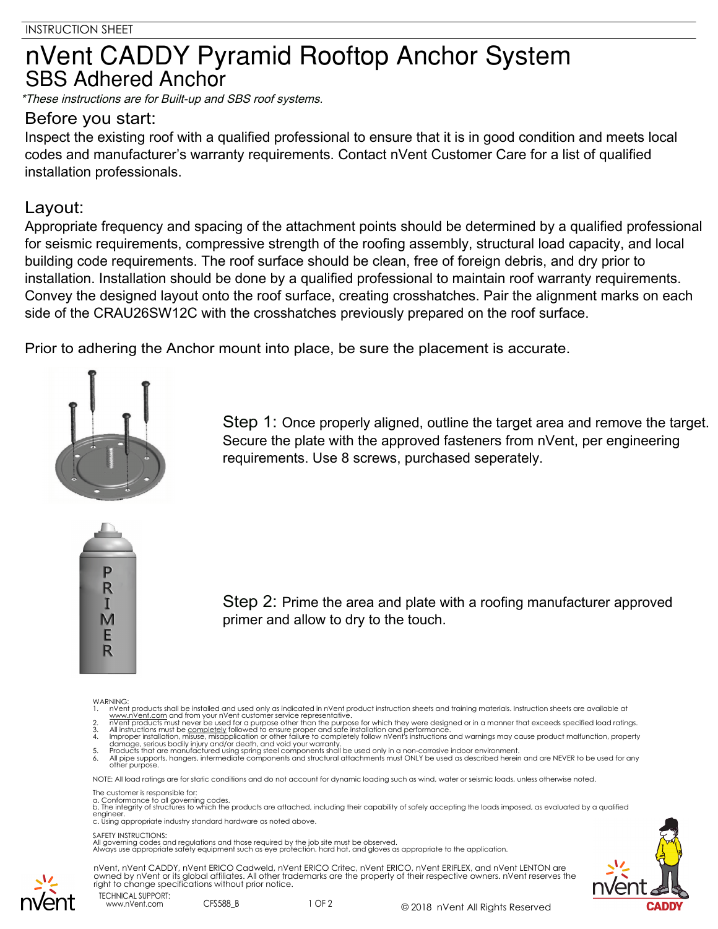## nVent CADDY Pyramid Rooftop Anchor System **SBS Adhered Anchor**

\*These instructions are for Built-up and SBS roof systems.

## Before you start:

Inspect the existing roof with a qualified professional to ensure that it is in good condition and meets local codes and manufacturer's warranty requirements. Contact nVent Customer Care for a list of qualified installation professionals.

## Layout:

Appropriate frequency and spacing of the attachment points should be determined by a qualified professional for seismic requirements, compressive strength of the roofing assembly, structural load capacity, and local building code requirements. The roof surface should be clean, free of foreign debris, and dry prior to installation. Installation should be done by a qualified professional to maintain roof warranty requirements. Convey the designed layout onto the roof surface, creating crosshatches. Pair the alignment marks on each side of the CRAU26SW12C with the crosshatches previously prepared on the roof surface.

Prior to adhering the Anchor mount into place, be sure the placement is accurate.



Step 1: Once properly aligned, outline the target area and remove the target. Secure the plate with the approved fasteners from nVent, per engineering requirements. Use 8 screws, purchased seperately.



Step 2: Prime the area and plate with a roofing manufacturer approved primer and allow to dry to the touch.

WARNING:

- 
- 
- 
- 1. In Went products shall be installed and used only as indicated in n'vent product instruction sheets and training materials. Instruction sheets are available at www.n'vent.com and from your n'vent customer service repres

NOTE: All load ratings are for static conditions and do not account for dynamic loading such as wind, water or seismic loads, unless otherwise noted.

The customer is responsible for:

a. Conformance to all governing codes.<br>b. The integrity of structures to which the products are attached, including their capability of safely accepting the loads imposed, as evaluated by a qualified engineer. c. Using appropriate industry standard hardware as noted above.

## SAFETY INSTRUCTIONS:

All governing codes and regulations and those required by the job site must be observed. Always use appropriate safety equipment such as eye protection, hard hat, and gloves as appropriate to the application.







www.nVent.com CFS588\_B